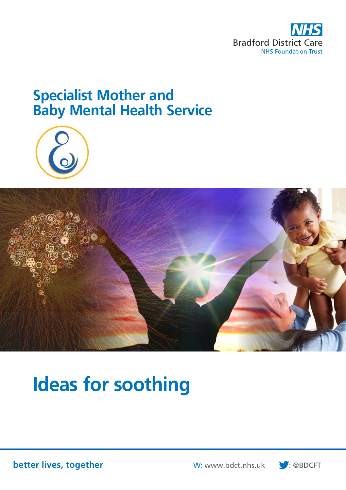

## **Specialist Mother and Baby Mental Health Service**





# **Ideas for soothing**

**better lives, together** W: www.bdct.nhs.uk **: @BDCFT** 

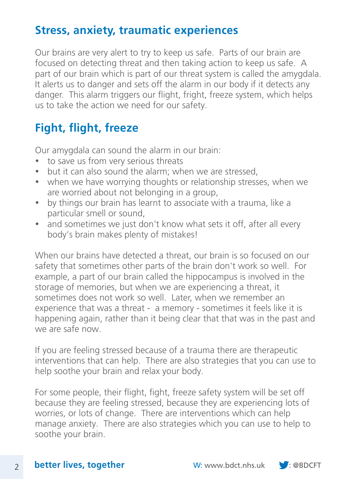### **Stress, anxiety, traumatic experiences**

Our brains are very alert to try to keep us safe. Parts of our brain are focused on detecting threat and then taking action to keep us safe. A part of our brain which is part of our threat system is called the amygdala. It alerts us to danger and sets off the alarm in our body if it detects any danger. This alarm triggers our flight, fright, freeze system, which helps us to take the action we need for our safety.

### **Fight, flight, freeze**

Our amygdala can sound the alarm in our brain:

- to save us from very serious threats
- but it can also sound the alarm; when we are stressed,
- when we have worrying thoughts or relationship stresses, when we are worried about not belonging in a group,
- $\bullet$  by things our brain has learnt to associate with a trauma, like a particular smell or sound,
- and sometimes we just don't know what sets it off, after all every body's brain makes plenty of mistakes!

When our brains have detected a threat, our brain is so focused on our safety that sometimes other parts of the brain don't work so well. For example, a part of our brain called the hippocampus is involved in the storage of memories, but when we are experiencing a threat, it sometimes does not work so well. Later, when we remember an experience that was a threat - a memory - sometimes it feels like it is happening again, rather than it being clear that that was in the past and we are safe now.

If you are feeling stressed because of a trauma there are therapeutic interventions that can help. There are also strategies that you can use to help soothe your brain and relax your body.

For some people, their flight, fight, freeze safety system will be set off because they are feeling stressed, because they are experiencing lots of worries, or lots of change. There are interventions which can help manage anxiety. There are also strategies which you can use to help to soothe your brain.

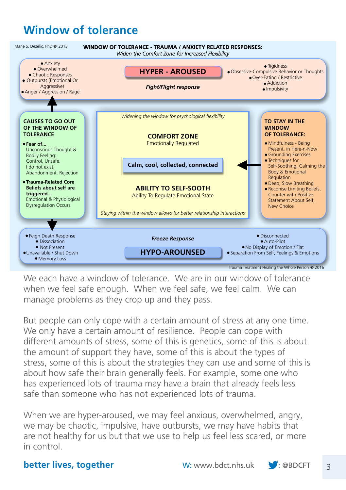### **Window of tolerance**



We each have a window of tolerance. We are in our window of tolerance when we feel safe enough. When we feel safe, we feel calm. We can manage problems as they crop up and they pass.

But people can only cope with a certain amount of stress at any one time. We only have a certain amount of resilience. People can cope with different amounts of stress, some of this is genetics, some of this is about the amount of support they have, some of this is about the types of stress, some of this is about the strategies they can use and some of this is about how safe their brain generally feels. For example, some one who has experienced lots of trauma may have a brain that already feels less safe than someone who has not experienced lots of trauma.

When we are hyper-aroused, we may feel anxious, overwhelmed, angry, we may be chaotic, impulsive, have outbursts, we may have habits that are not healthy for us but that we use to help us feel less scared, or more in control.

#### **better lives, together** W: www.bdct.nhs.uk **:** @BDCFT



3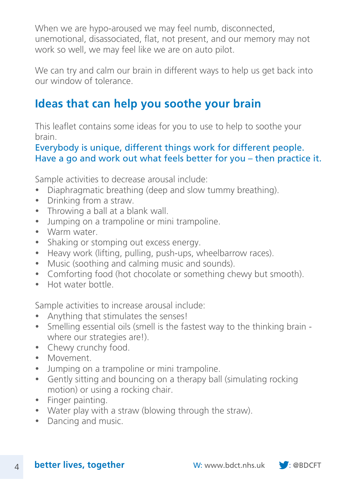When we are hypo-aroused we may feel numb, disconnected, unemotional, disassociated, flat, not present, and our memory may not work so well, we may feel like we are on auto pilot.

We can try and calm our brain in different ways to help us get back into our window of tolerance.

### **Ideas that can help you soothe your brain**

This leaflet contains some ideas for you to use to help to soothe your brain.

#### Everybody is unique, different things work for different people. Have a go and work out what feels better for you – then practice it.

Sample activities to decrease arousal include:

- Diaphragmatic breathing (deep and slow tummy breathing).
- $\bullet$  Drinking from a straw.
- $\bullet$  Throwing a ball at a blank wall.
- Jumping on a trampoline or mini trampoline.
- Warm water
- Shaking or stomping out excess energy.
- Heavy work (lifting, pulling, push-ups, wheelbarrow races).
- Music (soothing and calming music and sounds).
- Comforting food (hot chocolate or something chewy but smooth).
- $\bullet$  Hot water bottle

Sample activities to increase arousal include:

- Anything that stimulates the senses!
- Smelling essential oils (smell is the fastest way to the thinking brain where our strategies are!).
- Chewy crunchy food.
- $\bullet$  Movement
- Jumping on a trampoline or mini trampoline.
- $\bullet$  Gently sitting and bouncing on a therapy ball (simulating rocking motion) or using a rocking chair.
- Finger painting.
- Water play with a straw (blowing through the straw).
- Dancing and music.

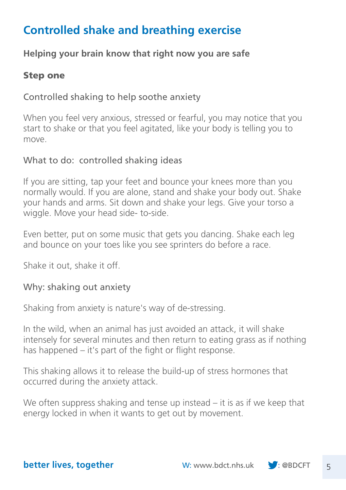### **Controlled shake and breathing exercise**

#### **Helping your brain know that right now you are safe**

#### Step one

#### Controlled shaking to help soothe anxiety

When you feel very anxious, stressed or fearful, you may notice that you start to shake or that you feel agitated, like your body is telling you to  $M$ 

#### What to do: controlled shaking ideas

If you are sitting, tap your feet and bounce your knees more than you normally would. If you are alone, stand and shake your body out. Shake your hands and arms. Sit down and shake your legs. Give your torso a wiggle. Move your head side- to-side.

Even better, put on some music that gets you dancing. Shake each leg and bounce on your toes like you see sprinters do before a race.

Shake it out, shake it off.

#### Why: shaking out anxiety

Shaking from anxiety is nature's way of de-stressing.

In the wild, when an animal has just avoided an attack, it will shake intensely for several minutes and then return to eating grass as if nothing has happened – it's part of the fight or flight response.

This shaking allows it to release the build-up of stress hormones that occurred during the anxiety attack.

We often suppress shaking and tense up instead – it is as if we keep that energy locked in when it wants to get out by movement.

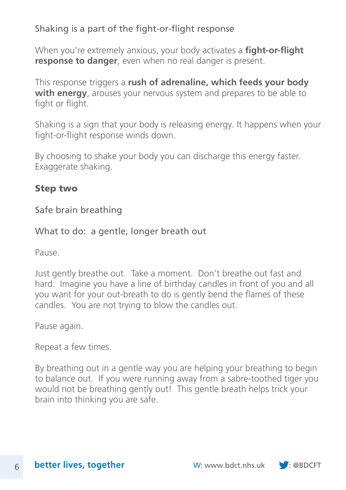### Shaking is a part of the fight-or-flight response

When you're extremely anxious, your body activates a **fight-or-flight response to danger**, even when no real danger is present.

This response triggers a **rush of adrenaline, which feeds your body with energy**, arouses your nervous system and prepares to be able to fight or flight.

Shaking is a sign that your body is releasing energy. It happens when your fight-or-flight response winds down.

By choosing to shake your body you can discharge this energy faster. Exaggerate shaking.

#### Step two

Safe brain breathing

What to do: a gentle, longer breath out

Pause.

Just gently breathe out. Take a moment. Don't breathe out fast and hard. Imagine you have a line of birthday candles in front of you and all you want for your out-breath to do is gently bend the flames of these candles. You are not trying to blow the candles out.

Pause again.

Repeat a few times.

By breathing out in a gentle way you are helping your breathing to begin to balance out. If you were running away from a sabre-toothed tiger you would not be breathing gently out! This gentle breath helps trick your brain into thinking you are safe.

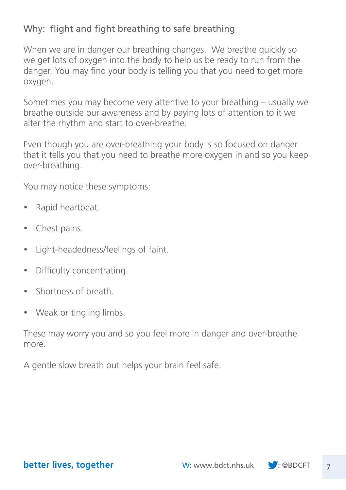### Why: flight and fight breathing to safe breathing

When we are in danger our breathing changes. We breathe quickly so we get lots of oxygen into the body to help us be ready to run from the danger. You may find your body is telling you that you need to get more oxygen.

Sometimes you may become very attentive to your breathing – usually we breathe outside our awareness and by paying lots of attention to it we alter the rhythm and start to over-breathe.

Even though you are over-breathing your body is so focused on danger that it tells you that you need to breathe more oxygen in and so you keep over-breathing.

You may notice these symptoms:

- Rapid heartbeat.
- Chest pains.
- Light-headedness/feelings of faint.
- Difficulty concentrating.
- Shortness of breath
- Weak or tingling limbs.

These may worry you and so you feel more in danger and over-breathe more.

A gentle slow breath out helps your brain feel safe.

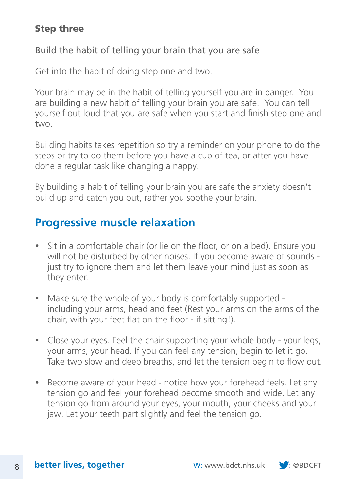### Step three

### Build the habit of telling your brain that you are safe

Get into the habit of doing step one and two.

Your brain may be in the habit of telling yourself you are in danger. You are building a new habit of telling your brain you are safe. You can tell yourself out loud that you are safe when you start and finish step one and two.

Building habits takes repetition so try a reminder on your phone to do the steps or try to do them before you have a cup of tea, or after you have done a regular task like changing a nappy.

By building a habit of telling your brain you are safe the anxiety doesn't build up and catch you out, rather you soothe your brain.

### **Progressive muscle relaxation**

- $\bullet$  Sit in a comfortable chair (or lie on the floor, or on a bed). Ensure you will not be disturbed by other noises. If you become aware of sounds just try to janore them and let them leave your mind just as soon as they enter.
- Make sure the whole of your body is comfortably supported including your arms, head and feet (Rest your arms on the arms of the chair, with your feet flat on the floor - if sitting!).
- Close your eyes. Feel the chair supporting your whole body your legs, your arms, your head. If you can feel any tension, begin to let it go. Take two slow and deep breaths, and let the tension begin to flow out.
- Become aware of your head notice how your forehead feels. Let any tension go and feel your forehead become smooth and wide. Let any tension go from around your eyes, your mouth, your cheeks and your jaw. Let your teeth part slightly and feel the tension go.

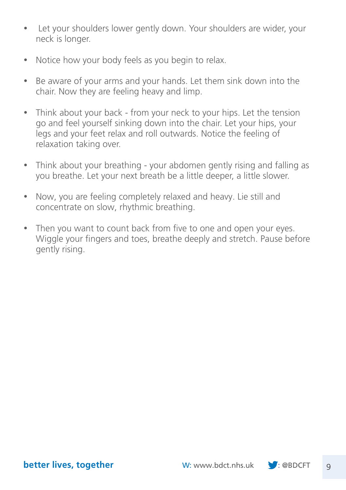- Let your shoulders lower gently down. Your shoulders are wider, your neck is longer.
- Notice how your body feels as you begin to relax.
- $\bullet$  Be aware of your arms and your hands. Let them sink down into the chair. Now they are feeling heavy and limp.
- Think about your back from your neck to your hips. Let the tension go and feel yourself sinking down into the chair. Let your hips, your legs and your feet relax and roll outwards. Notice the feeling of relaxation taking over.
- Think about your breathing your abdomen gently rising and falling as you breathe. Let your next breath be a little deeper, a little slower.
- Now, you are feeling completely relaxed and heavy. Lie still and concentrate on slow, rhythmic breathing.
- Then you want to count back from five to one and open your eyes. Wiggle your fingers and toes, breathe deeply and stretch. Pause before gently rising.

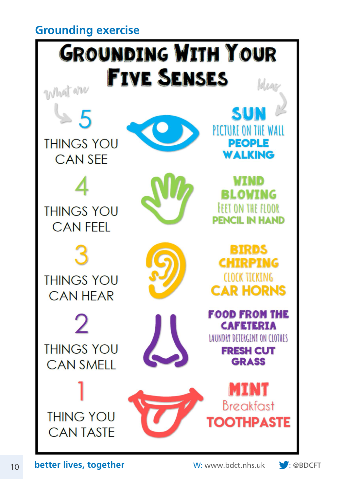### **Grounding exercise**

# **GROUNDING WITH YOUR FIVE SENSES** Idear

What are

5 **THINGS YOU CAN SEE** 

**THINGS YOU CAN FFFL** 

**THINGS YOU CAN HEAR** 

**THINGS YOU CAN SMELL** 

**THING YOU CAN TASTE** 



PICTURE ON THE WALL **PEOPLE** WALKING

17 ND **OWTNG FEFT ON THE FLOOR PENCIL IN HAND** 

RIRDS **CHIRPING CLOCK TICKING CAR HORNS** 

**FOOD FROM THE CAFETERIA LAUNDRY DETERGENT ON CLOTHES FRESH CUT GRASS** 

TINT **Breakfast TOOTHPASTE** 

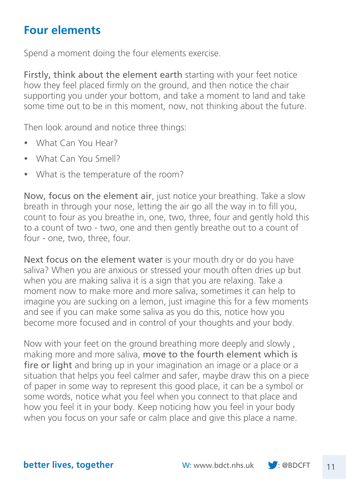### **Four elements**

Spend a moment doing the four elements exercise.

Firstly, think about the element earth starting with your feet notice how they feel placed firmly on the ground, and then notice the chair supporting you under your bottom, and take a moment to land and take some time out to be in this moment, now, not thinking about the future.

Then look around and notice three things:

- What Can You Hear?
- What Can You Smell?
- What is the temperature of the room?

Now, focus on the element air, just notice your breathing. Take a slow breath in through your nose, letting the air go all the way in to fill you, count to four as you breathe in, one, two, three, four and gently hold this to a count of two - two, one and then gently breathe out to a count of four - one, two, three, four.

Next focus on the element water is your mouth dry or do you have saliva? When you are anxious or stressed your mouth often dries up but when you are making saliva it is a sign that you are relaxing. Take a moment now to make more and more saliva, sometimes it can help to imagine you are sucking on a lemon, just imagine this for a few moments and see if you can make some saliva as you do this, notice how you become more focused and in control of your thoughts and your body.

Now with your feet on the ground breathing more deeply and slowly , making more and more saliva, move to the fourth element which is fire or light and bring up in your imagination an image or a place or a situation that helps you feel calmer and safer, maybe draw this on a piece of paper in some way to represent this good place, it can be a symbol or some words, notice what you feel when you connect to that place and how you feel it in your body. Keep noticing how you feel in your body when you focus on your safe or calm place and give this place a name.

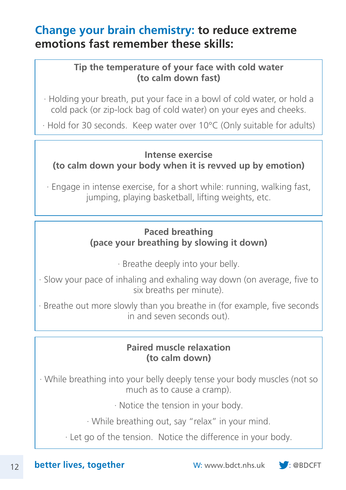### **Change your brain chemistry: to reduce extreme emotions fast remember these skills:**

### **Tip the temperature of your face with cold water (to calm down fast)**

· Holding your breath, put your face in a bowl of cold water, or hold a cold pack (or zip-lock bag of cold water) on your eyes and cheeks.

· Hold for 30 seconds. Keep water over 10°C (Only suitable for adults)

#### **Intense exercise (to calm down your body when it is revved up by emotion)**

· Engage in intense exercise, for a short while: running, walking fast, jumping, playing basketball, lifting weights, etc.

### **Paced breathing (pace your breathing by slowing it down)**

· Breathe deeply into your belly.

- · Slow your pace of inhaling and exhaling way down (on average, five to six breaths per minute).
- · Breathe out more slowly than you breathe in (for example, five seconds in and seven seconds out).

#### **Paired muscle relaxation (to calm down)**

· While breathing into your belly deeply tense your body muscles (not so much as to cause a cramp).

· Notice the tension in your body.

- · While breathing out, say "relax" in your mind.
- · Let go of the tension. Notice the difference in your body.

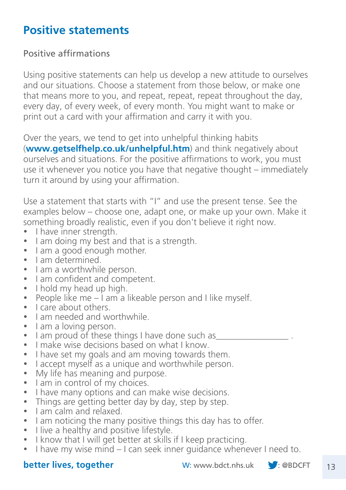### **Positive statements**

#### Positive affirmations

Using positive statements can help us develop a new attitude to ourselves and our situations. Choose a statement from those below, or make one that means more to you, and repeat, repeat, repeat throughout the day, every day, of every week, of every month. You might want to make or print out a card with your affirmation and carry it with you.

Over the years, we tend to get into unhelpful thinking habits (**www.getselfhelp.co.uk/unhelpful.htm**) and think negatively about ourselves and situations. For the positive affirmations to work, you must use it whenever you notice you have that negative thought – immediately turn it around by using your affirmation.

Use a statement that starts with "I" and use the present tense. See the examples below – choose one, adapt one, or make up your own. Make it something broadly realistic, even if you don't believe it right now.

- $\cdot$  I have inner strength.
- I am doing my best and that is a strength.
- I am a good enough mother.
- $\bullet$  I am determined
- I am a worthwhile person.
- I am confident and competent.
- $\cdot$  I hold my head up high.
- People like me  $-1$  am a likeable person and I like myself.
- $\cdot$  I care about others.
- $\bullet$  I am needed and worthwhile.
- $\bullet$  I am a loving person.
- $\bullet$  I am proud of these things I have done such as
- I make wise decisions based on what I know.
- $\cdot$  I have set my goals and am moving towards them.
- $\bullet$  I accept myself as a unique and worthwhile person.
- My life has meaning and purpose.
- I am in control of my choices.
- I have many options and can make wise decisions.
- Things are getting better day by day, step by step.
- I am calm and relaxed.
- I am noticing the many positive things this day has to offer.
- $\cdot$  I live a healthy and positive lifestyle.
- I know that I will get better at skills if I keep practicing.
- $\bullet$  I have my wise mind I can seek inner guidance whenever I need to.

### **better lives, together** W: www.bdct.nhs.uk **:** @BDCFT 13

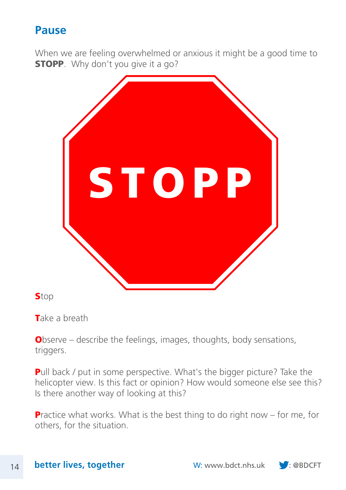### **Pause**

When we are feeling overwhelmed or anxious it might be a good time to **STOPP.** Why don't you give it a go?



**Stop** 

Take a breath

Observe – describe the feelings, images, thoughts, body sensations, triggers.

**Pull back / put in some perspective. What's the bigger picture? Take the** helicopter view. Is this fact or opinion? How would someone else see this? Is there another way of looking at this?

Practice what works. What is the best thing to do right now – for me, for others, for the situation.

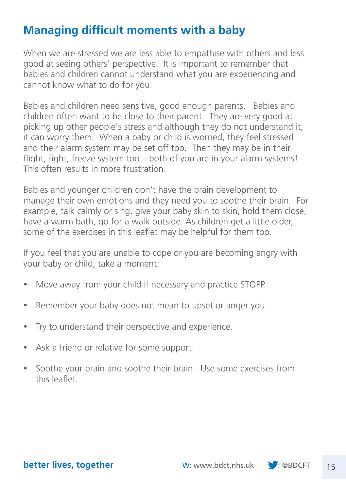### **Managing difficult moments with a baby**

When we are stressed we are less able to empathise with others and less good at seeing others' perspective. It is important to remember that babies and children cannot understand what you are experiencing and cannot know what to do for you.

Babies and children need sensitive, good enough parents. Babies and children often want to be close to their parent. They are very good at picking up other people's stress and although they do not understand it, it can worry them. When a baby or child is worried, they feel stressed and their alarm system may be set off too. Then they may be in their flight, fight, freeze system too – both of you are in your alarm systems! This often results in more frustration.

Babies and younger children don't have the brain development to manage their own emotions and they need you to soothe their brain. For example, talk calmly or sing, give your baby skin to skin, hold them close, have a warm bath, go for a walk outside. As children get a little older, some of the exercises in this leaflet may be helpful for them too.

If you feel that you are unable to cope or you are becoming angry with your baby or child, take a moment:

- Move away from your child if necessary and practice STOPP.
- Remember your baby does not mean to upset or anger you.
- Try to understand their perspective and experience.
- Ask a friend or relative for some support.
- Soothe your brain and soothe their brain. Use some exercises from this leaflet.

#### **better lives, together** W: www.bdct.nhs.uk **:** @BDCFT 15